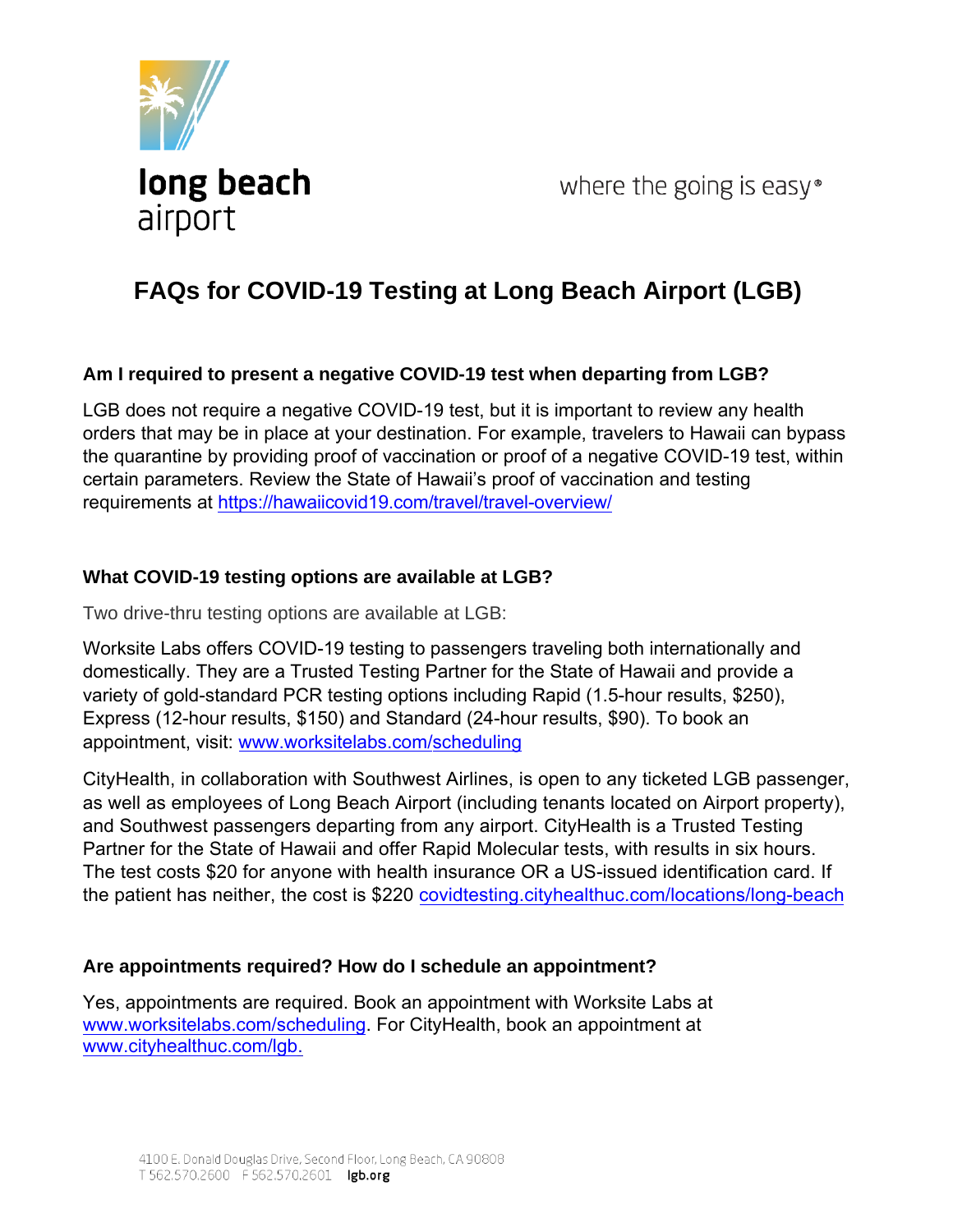

where the going is easy $\degree$ 

# **FAQs for COVID-19 Testing at Long Beach Airport (LGB)**

#### **Am I required to present a negative COVID-19 test when departing from LGB?**

LGB does not require a negative COVID-19 test, but it is important to review any health orders that may be in place at your destination. For example, travelers to Hawaii can bypass the quarantine by providing proof of vaccination or proof of a negative COVID-19 test, within certain parameters. Review the State of Hawaii's proof of vaccination and testing requirements at <https://hawaiicovid19.com/travel/travel-overview/>

#### **What COVID-19 testing options are available at LGB?**

Two drive-thru testing options are available at LGB:

Worksite Labs offers COVID-19 testing to passengers traveling both internationally and domestically. They are a Trusted Testing Partner for the State of Hawaii and provide a variety of gold-standard PCR testing options including Rapid (1.5-hour results, \$250), Express (12-hour results, \$150) and Standard (24-hour results, \$90). To book an appointment, visit: [www.worksitelabs.com/scheduling](https://worksitelabs.com/scheduling/)

CityHealth, in collaboration with Southwest Airlines, is open to any ticketed LGB passenger, as well as employees of Long Beach Airport (including tenants located on Airport property), and Southwest passengers departing from any airport. CityHealth is a Trusted Testing Partner for the State of Hawaii and offer Rapid Molecular tests, with results in six hours. The test costs \$20 for anyone with health insurance OR a US-issued identification card. If the patient has neither, the cost is \$220 <covidtesting.cityhealthuc.com/locations/long-beach>

# **Are appointments required? How do I schedule an appointment?**

Yes, appointments are required. Book an appointment with Worksite Labs at <www.worksitelabs.com/scheduling>. For CityHealth, book an appointment at [www.cityhealthuc.com/lgb.](www.cityhealthuc.com/lgb)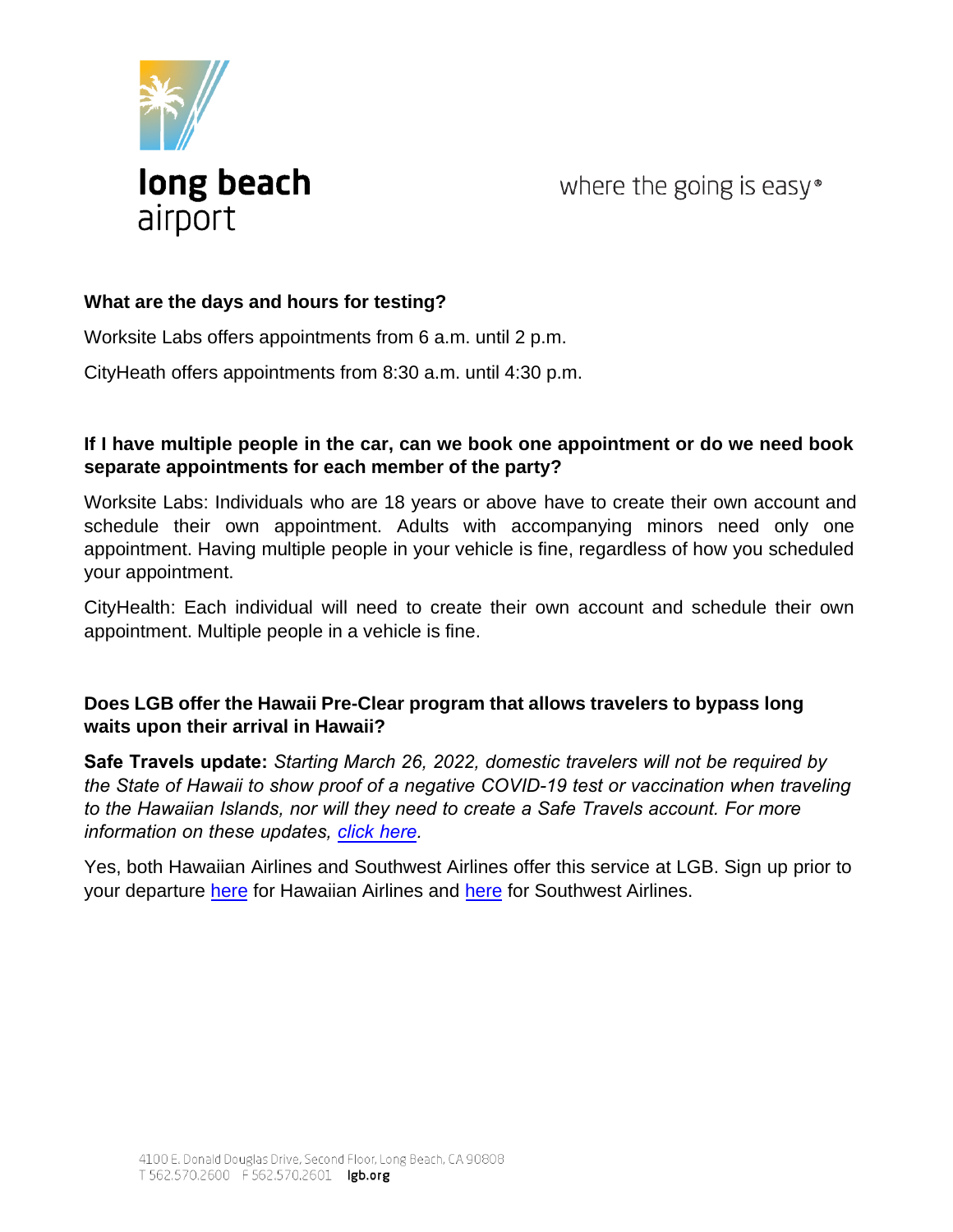

where the going is easy<sup>®</sup>

#### **What are the days and hours for testing?**

Worksite Labs offers appointments from 6 a.m. until 2 p.m.

CityHeath offers appointments from 8:30 a.m. until 4:30 p.m.

#### **If I have multiple people in the car, can we book one appointment or do we need book separate appointments for each member of the party?**

Worksite Labs: Individuals who are 18 years or above have to create their own account and schedule their own appointment. Adults with accompanying minors need only one appointment. Having multiple people in your vehicle is fine, regardless of how you scheduled your appointment.

CityHealth: Each individual will need to create their own account and schedule their own appointment. Multiple people in a vehicle is fine.

# **Does LGB offer the Hawaii Pre-Clear program that allows travelers to bypass long waits upon their arrival in Hawaii?**

**Safe Travels update:** *Starting March 26, 2022, domestic travelers will not be required by the State of Hawaii to show proof of a negative COVID-19 test or vaccination when traveling to the Hawaiian Islands, nor will they need to create a Safe Travels account. For more information on these updates, [click here.](https://hawaiicovid19.com/travel/)*

Yes, both Hawaiian Airlines and Southwest Airlines offer this service at LGB. Sign up prior to your departure [here](https://www.hawaiianairlines.com/coronavirus/pre-clear-program) for Hawaiian Airlines an[d here](https://www.hawaiianairlines.com/coronavirus/pre-clear-program) for Southwest Airlines.